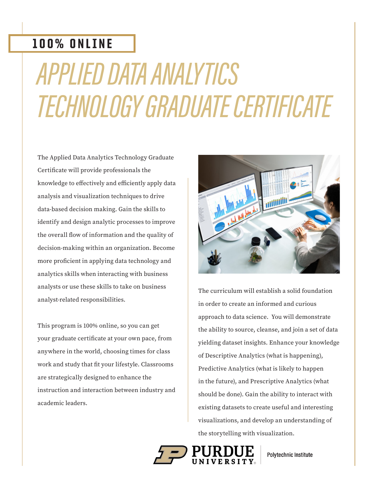## 100% ONLINE

# APPLIED DATA ANALYTICS TECHNOLOGY GRADUATE CERTIFICATE

The Applied Data Analytics Technology Graduate Certificate will provide professionals the knowledge to effectively and efficiently apply data analysis and visualization techniques to drive data-based decision making. Gain the skills to identify and design analytic processes to improve the overall flow of information and the quality of decision-making within an organization. Become more proficient in applying data technology and analytics skills when interacting with business analysts or use these skills to take on business analyst-related responsibilities.

This program is 100% online, so you can get your graduate certificate at your own pace, from anywhere in the world, choosing times for class work and study that fit your lifestyle. Classrooms are strategically designed to enhance the instruction and interaction between industry and academic leaders.



The curriculum will establish a solid foundation in order to create an informed and curious approach to data science. You will demonstrate the ability to source, cleanse, and join a set of data yielding dataset insights. Enhance your knowledge of Descriptive Analytics (what is happening), Predictive Analytics (what is likely to happen in the future), and Prescriptive Analytics (what should be done). Gain the ability to interact with existing datasets to create useful and interesting visualizations, and develop an understanding of the storytelling with visualization.



Polytechnic Institute